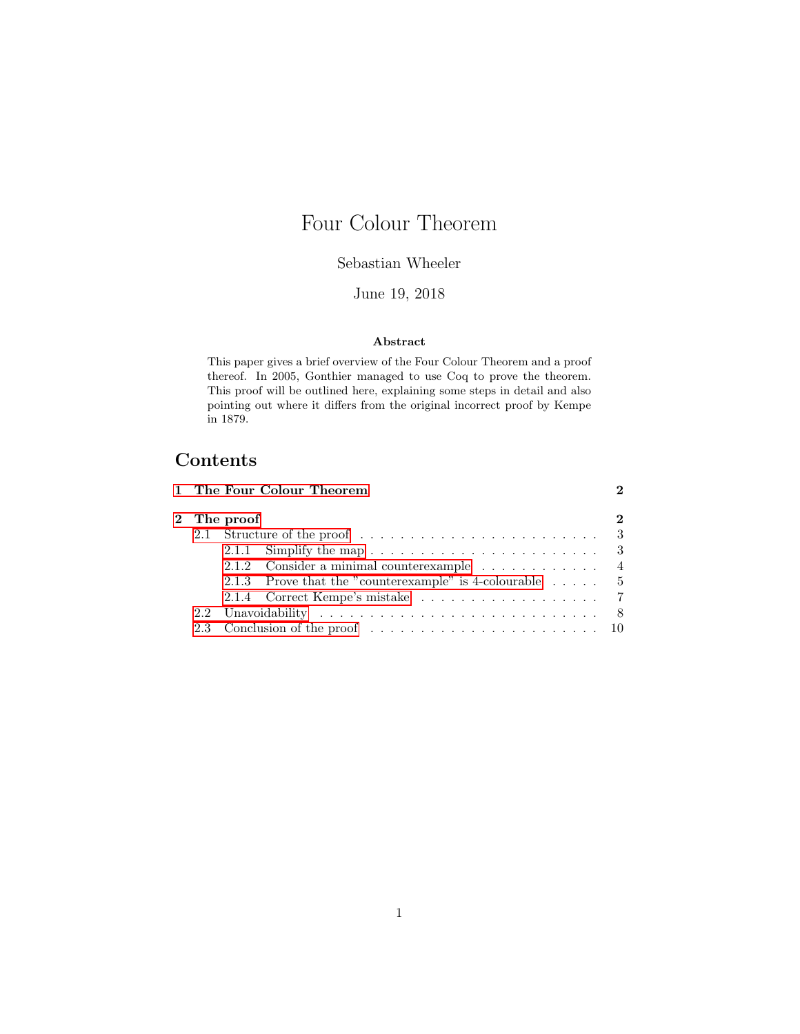# Four Colour Theorem

# Sebastian Wheeler

### June 19, 2018

#### Abstract

This paper gives a brief overview of the Four Colour Theorem and a proof thereof. In 2005, Gonthier managed to use Coq to prove the theorem. This proof will be outlined here, explaining some steps in detail and also pointing out where it differs from the original incorrect proof by Kempe in 1879.

# Contents

|  | 1 The Four Colour Theorem                                                                       |          |
|--|-------------------------------------------------------------------------------------------------|----------|
|  | 2 The proof                                                                                     | $\bf{2}$ |
|  | 2.1 Structure of the proof $\ldots \ldots \ldots \ldots \ldots \ldots \ldots \ldots$            |          |
|  |                                                                                                 |          |
|  | 2.1.2 Consider a minimal counterexample 4                                                       |          |
|  | 2.1.3 Prove that the "counterexample" is 4-colourable $\dots$ .                                 |          |
|  |                                                                                                 |          |
|  |                                                                                                 |          |
|  | 2.3 Conclusion of the proof $\ldots \ldots \ldots \ldots \ldots \ldots \ldots \ldots \ldots 10$ |          |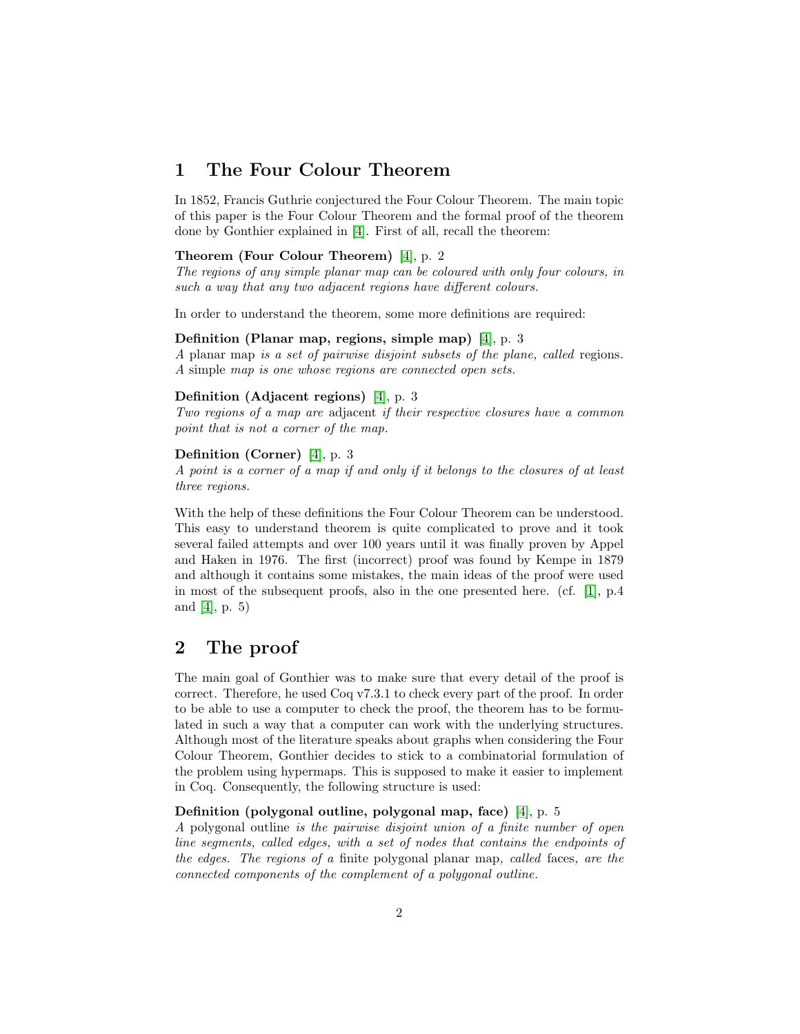# <span id="page-1-0"></span>1 The Four Colour Theorem

In 1852, Francis Guthrie conjectured the Four Colour Theorem. The main topic of this paper is the Four Colour Theorem and the formal proof of the theorem done by Gonthier explained in [\[4\]](#page-11-0). First of all, recall the theorem:

#### Theorem (Four Colour Theorem) [\[4\]](#page-11-0), p. 2

The regions of any simple planar map can be coloured with only four colours, in such a way that any two adjacent regions have different colours.

In order to understand the theorem, some more definitions are required:

#### Definition (Planar map, regions, simple map) [\[4\]](#page-11-0), p. 3

A planar map is a set of pairwise disjoint subsets of the plane, called regions. A simple map is one whose regions are connected open sets.

#### Definition (Adjacent regions) [\[4\]](#page-11-0), p. 3

Two regions of a map are adjacent if their respective closures have a common point that is not a corner of the map.

#### Definition (Corner) [\[4\]](#page-11-0), p. 3

A point is a corner of a map if and only if it belongs to the closures of at least three regions.

With the help of these definitions the Four Colour Theorem can be understood. This easy to understand theorem is quite complicated to prove and it took several failed attempts and over 100 years until it was finally proven by Appel and Haken in 1976. The first (incorrect) proof was found by Kempe in 1879 and although it contains some mistakes, the main ideas of the proof were used in most of the subsequent proofs, also in the one presented here. (cf. [\[1\]](#page-11-1), p.4 and  $[4]$ , p. 5)

# <span id="page-1-1"></span>2 The proof

The main goal of Gonthier was to make sure that every detail of the proof is correct. Therefore, he used Coq v7.3.1 to check every part of the proof. In order to be able to use a computer to check the proof, the theorem has to be formulated in such a way that a computer can work with the underlying structures. Although most of the literature speaks about graphs when considering the Four Colour Theorem, Gonthier decides to stick to a combinatorial formulation of the problem using hypermaps. This is supposed to make it easier to implement in Coq. Consequently, the following structure is used:

#### Definition (polygonal outline, polygonal map, face) [\[4\]](#page-11-0), p. 5

A polygonal outline is the pairwise disjoint union of a finite number of open line segments, called edges, with a set of nodes that contains the endpoints of the edges. The regions of a finite polygonal planar map, called faces, are the connected components of the complement of a polygonal outline.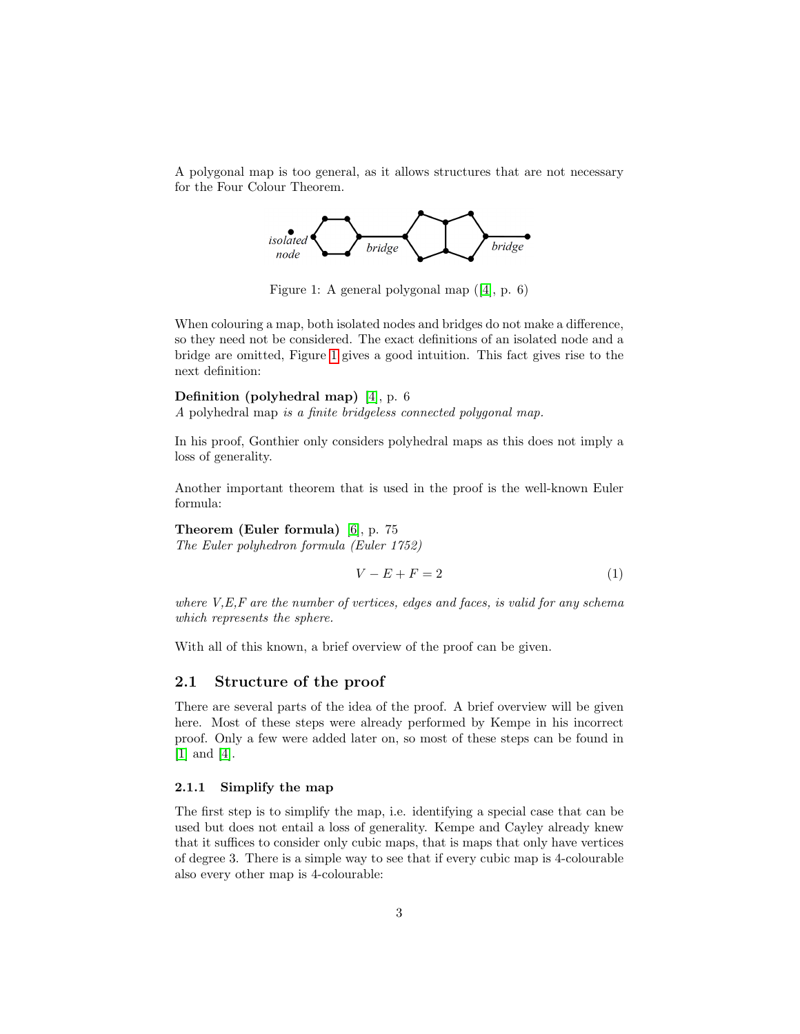A polygonal map is too general, as it allows structures that are not necessary for the Four Colour Theorem.



<span id="page-2-2"></span>Figure 1: A general polygonal map ([\[4\]](#page-11-0), p. 6)

When colouring a map, both isolated nodes and bridges do not make a difference, so they need not be considered. The exact definitions of an isolated node and a bridge are omitted, Figure [1](#page-2-2) gives a good intuition. This fact gives rise to the next definition:

#### Definition (polyhedral map) [\[4\]](#page-11-0), p. 6

A polyhedral map is a finite bridgeless connected polygonal map.

In his proof, Gonthier only considers polyhedral maps as this does not imply a loss of generality.

Another important theorem that is used in the proof is the well-known Euler formula:

#### Theorem (Euler formula) [\[6\]](#page-11-2), p. 75

The Euler polyhedron formula (Euler 1752)

<span id="page-2-3"></span>
$$
V - E + F = 2 \tag{1}
$$

where  $V, E, F$  are the number of vertices, edges and faces, is valid for any schema which represents the sphere.

With all of this known, a brief overview of the proof can be given.

#### <span id="page-2-0"></span>2.1 Structure of the proof

There are several parts of the idea of the proof. A brief overview will be given here. Most of these steps were already performed by Kempe in his incorrect proof. Only a few were added later on, so most of these steps can be found in [\[1\]](#page-11-1) and [\[4\]](#page-11-0).

#### <span id="page-2-1"></span>2.1.1 Simplify the map

The first step is to simplify the map, i.e. identifying a special case that can be used but does not entail a loss of generality. Kempe and Cayley already knew that it suffices to consider only cubic maps, that is maps that only have vertices of degree 3. There is a simple way to see that if every cubic map is 4-colourable also every other map is 4-colourable: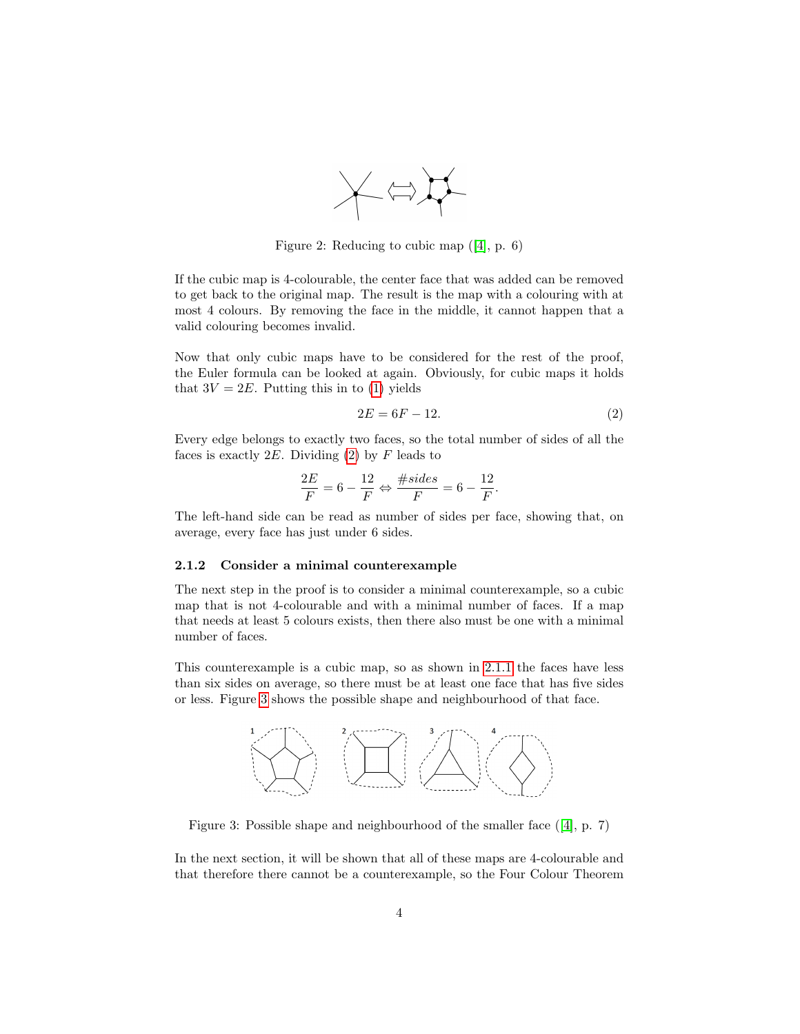

Figure 2: Reducing to cubic map ([\[4\]](#page-11-0), p. 6)

If the cubic map is 4-colourable, the center face that was added can be removed to get back to the original map. The result is the map with a colouring with at most 4 colours. By removing the face in the middle, it cannot happen that a valid colouring becomes invalid.

Now that only cubic maps have to be considered for the rest of the proof, the Euler formula can be looked at again. Obviously, for cubic maps it holds that  $3V = 2E$ . Putting this in to [\(1\)](#page-2-3) yields

<span id="page-3-1"></span>
$$
2E = 6F - 12.\t\t(2)
$$

Every edge belongs to exactly two faces, so the total number of sides of all the faces is exactly  $2E$ . Dividing [\(2\)](#page-3-1) by F leads to

$$
\frac{2E}{F} = 6 - \frac{12}{F} \Leftrightarrow \frac{\# sides}{F} = 6 - \frac{12}{F}.
$$

The left-hand side can be read as number of sides per face, showing that, on average, every face has just under 6 sides.

#### <span id="page-3-0"></span>2.1.2 Consider a minimal counterexample

The next step in the proof is to consider a minimal counterexample, so a cubic map that is not 4-colourable and with a minimal number of faces. If a map that needs at least 5 colours exists, then there also must be one with a minimal number of faces.

This counterexample is a cubic map, so as shown in [2.1.1](#page-2-1) the faces have less than six sides on average, so there must be at least one face that has five sides or less. Figure [3](#page-3-2) shows the possible shape and neighbourhood of that face.



<span id="page-3-2"></span>Figure 3: Possible shape and neighbourhood of the smaller face ([\[4\]](#page-11-0), p. 7)

In the next section, it will be shown that all of these maps are 4-colourable and that therefore there cannot be a counterexample, so the Four Colour Theorem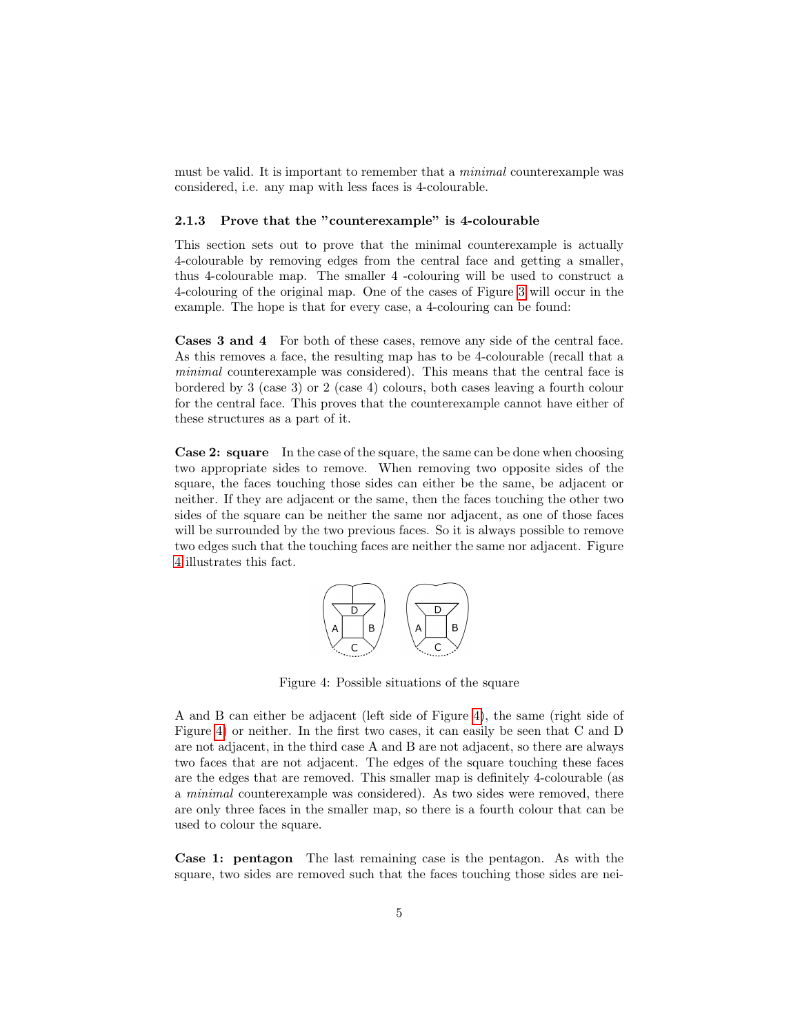must be valid. It is important to remember that a minimal counterexample was considered, i.e. any map with less faces is 4-colourable.

#### <span id="page-4-0"></span>2.1.3 Prove that the "counterexample" is 4-colourable

This section sets out to prove that the minimal counterexample is actually 4-colourable by removing edges from the central face and getting a smaller, thus 4-colourable map. The smaller 4 -colouring will be used to construct a 4-colouring of the original map. One of the cases of Figure [3](#page-3-2) will occur in the example. The hope is that for every case, a 4-colouring can be found:

Cases 3 and 4 For both of these cases, remove any side of the central face. As this removes a face, the resulting map has to be 4-colourable (recall that a minimal counterexample was considered). This means that the central face is bordered by 3 (case 3) or 2 (case 4) colours, both cases leaving a fourth colour for the central face. This proves that the counterexample cannot have either of these structures as a part of it.

Case 2: square In the case of the square, the same can be done when choosing two appropriate sides to remove. When removing two opposite sides of the square, the faces touching those sides can either be the same, be adjacent or neither. If they are adjacent or the same, then the faces touching the other two sides of the square can be neither the same nor adjacent, as one of those faces will be surrounded by the two previous faces. So it is always possible to remove two edges such that the touching faces are neither the same nor adjacent. Figure [4](#page-4-1) illustrates this fact.



<span id="page-4-1"></span>Figure 4: Possible situations of the square

A and B can either be adjacent (left side of Figure [4\)](#page-4-1), the same (right side of Figure [4\)](#page-4-1) or neither. In the first two cases, it can easily be seen that C and D are not adjacent, in the third case A and B are not adjacent, so there are always two faces that are not adjacent. The edges of the square touching these faces are the edges that are removed. This smaller map is definitely 4-colourable (as a minimal counterexample was considered). As two sides were removed, there are only three faces in the smaller map, so there is a fourth colour that can be used to colour the square.

Case 1: pentagon The last remaining case is the pentagon. As with the square, two sides are removed such that the faces touching those sides are nei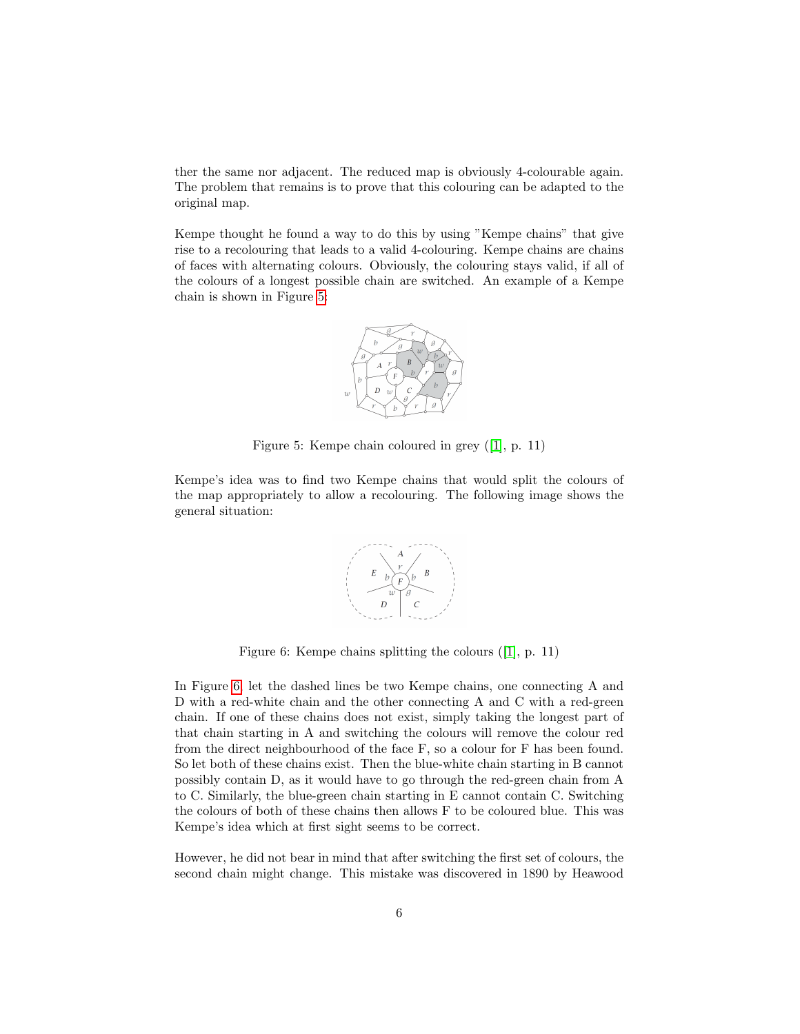ther the same nor adjacent. The reduced map is obviously 4-colourable again. The problem that remains is to prove that this colouring can be adapted to the original map.

Kempe thought he found a way to do this by using "Kempe chains" that give rise to a recolouring that leads to a valid 4-colouring. Kempe chains are chains of faces with alternating colours. Obviously, the colouring stays valid, if all of the colours of a longest possible chain are switched. An example of a Kempe chain is shown in Figure [5:](#page-5-0)



<span id="page-5-0"></span>Figure 5: Kempe chain coloured in grey ([\[1\]](#page-11-1), p. 11)

Kempe's idea was to find two Kempe chains that would split the colours of the map appropriately to allow a recolouring. The following image shows the general situation:



<span id="page-5-1"></span>Figure 6: Kempe chains splitting the colours ([\[1\]](#page-11-1), p. 11)

In Figure [6,](#page-5-1) let the dashed lines be two Kempe chains, one connecting A and D with a red-white chain and the other connecting A and C with a red-green chain. If one of these chains does not exist, simply taking the longest part of that chain starting in A and switching the colours will remove the colour red from the direct neighbourhood of the face F, so a colour for F has been found. So let both of these chains exist. Then the blue-white chain starting in B cannot possibly contain D, as it would have to go through the red-green chain from A to C. Similarly, the blue-green chain starting in E cannot contain C. Switching the colours of both of these chains then allows F to be coloured blue. This was Kempe's idea which at first sight seems to be correct.

However, he did not bear in mind that after switching the first set of colours, the second chain might change. This mistake was discovered in 1890 by Heawood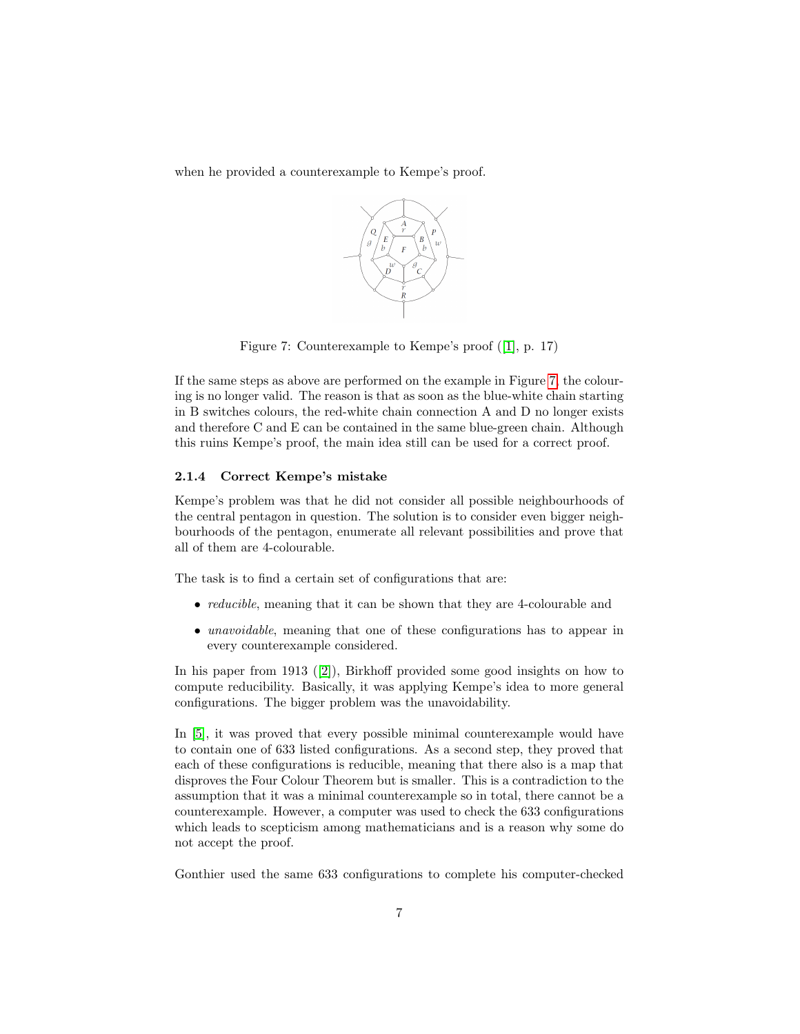when he provided a counterexample to Kempe's proof.



<span id="page-6-1"></span>Figure 7: Counterexample to Kempe's proof ([\[1\]](#page-11-1), p. 17)

If the same steps as above are performed on the example in Figure [7,](#page-6-1) the colouring is no longer valid. The reason is that as soon as the blue-white chain starting in B switches colours, the red-white chain connection A and D no longer exists and therefore C and E can be contained in the same blue-green chain. Although this ruins Kempe's proof, the main idea still can be used for a correct proof.

#### <span id="page-6-0"></span>2.1.4 Correct Kempe's mistake

Kempe's problem was that he did not consider all possible neighbourhoods of the central pentagon in question. The solution is to consider even bigger neighbourhoods of the pentagon, enumerate all relevant possibilities and prove that all of them are 4-colourable.

The task is to find a certain set of configurations that are:

- *reducible*, meaning that it can be shown that they are 4-colourable and
- *unavoidable*, meaning that one of these configurations has to appear in every counterexample considered.

In his paper from 1913 ([\[2\]](#page-11-3)), Birkhoff provided some good insights on how to compute reducibility. Basically, it was applying Kempe's idea to more general configurations. The bigger problem was the unavoidability.

In [\[5\]](#page-11-4), it was proved that every possible minimal counterexample would have to contain one of 633 listed configurations. As a second step, they proved that each of these configurations is reducible, meaning that there also is a map that disproves the Four Colour Theorem but is smaller. This is a contradiction to the assumption that it was a minimal counterexample so in total, there cannot be a counterexample. However, a computer was used to check the 633 configurations which leads to scepticism among mathematicians and is a reason why some do not accept the proof.

Gonthier used the same 633 configurations to complete his computer-checked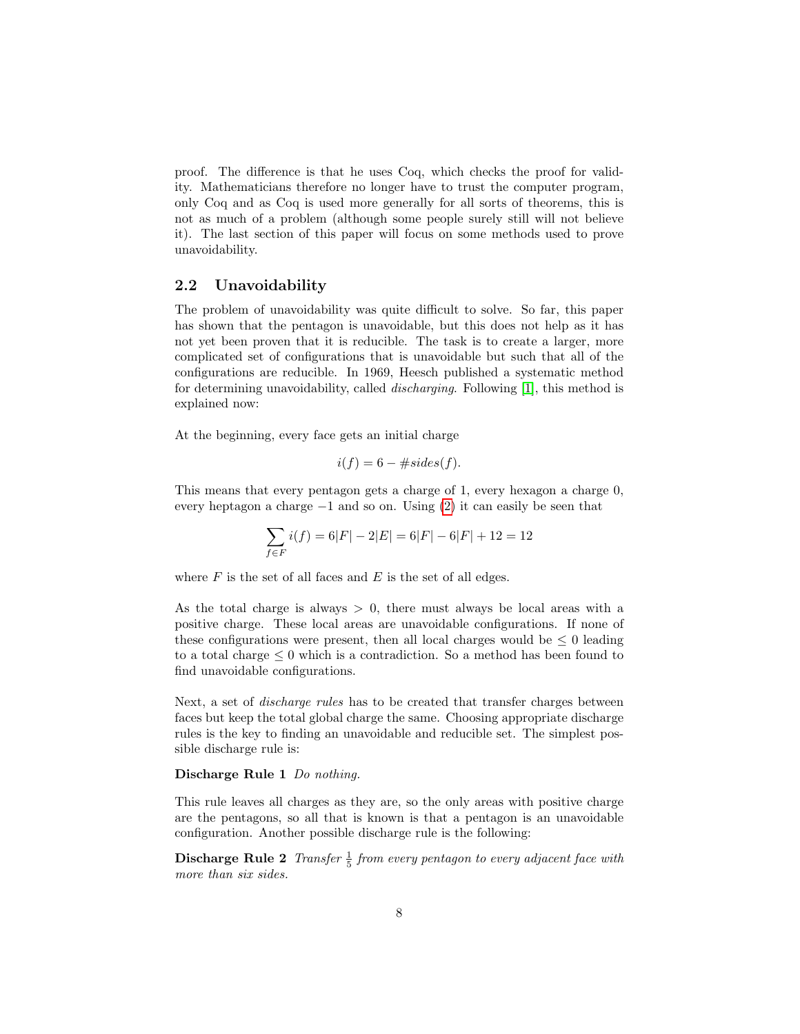proof. The difference is that he uses Coq, which checks the proof for validity. Mathematicians therefore no longer have to trust the computer program, only Coq and as Coq is used more generally for all sorts of theorems, this is not as much of a problem (although some people surely still will not believe it). The last section of this paper will focus on some methods used to prove unavoidability.

#### <span id="page-7-0"></span>2.2 Unavoidability

The problem of unavoidability was quite difficult to solve. So far, this paper has shown that the pentagon is unavoidable, but this does not help as it has not yet been proven that it is reducible. The task is to create a larger, more complicated set of configurations that is unavoidable but such that all of the configurations are reducible. In 1969, Heesch published a systematic method for determining unavoidability, called discharging. Following [\[1\]](#page-11-1), this method is explained now:

At the beginning, every face gets an initial charge

$$
i(f) = 6 - \# sides(f).
$$

This means that every pentagon gets a charge of 1, every hexagon a charge 0, every heptagon a charge  $-1$  and so on. Using [\(2\)](#page-3-1) it can easily be seen that

$$
\sum_{f \in F} i(f) = 6|F| - 2|E| = 6|F| - 6|F| + 12 = 12
$$

where  $F$  is the set of all faces and  $E$  is the set of all edges.

As the total charge is always  $> 0$ , there must always be local areas with a positive charge. These local areas are unavoidable configurations. If none of these configurations were present, then all local charges would be  $\leq 0$  leading to a total charge  $\leq 0$  which is a contradiction. So a method has been found to find unavoidable configurations.

Next, a set of discharge rules has to be created that transfer charges between faces but keep the total global charge the same. Choosing appropriate discharge rules is the key to finding an unavoidable and reducible set. The simplest possible discharge rule is:

#### Discharge Rule 1 Do nothing.

This rule leaves all charges as they are, so the only areas with positive charge are the pentagons, so all that is known is that a pentagon is an unavoidable configuration. Another possible discharge rule is the following:

**Discharge Rule 2** Transfer  $\frac{1}{5}$  from every pentagon to every adjacent face with more than six sides.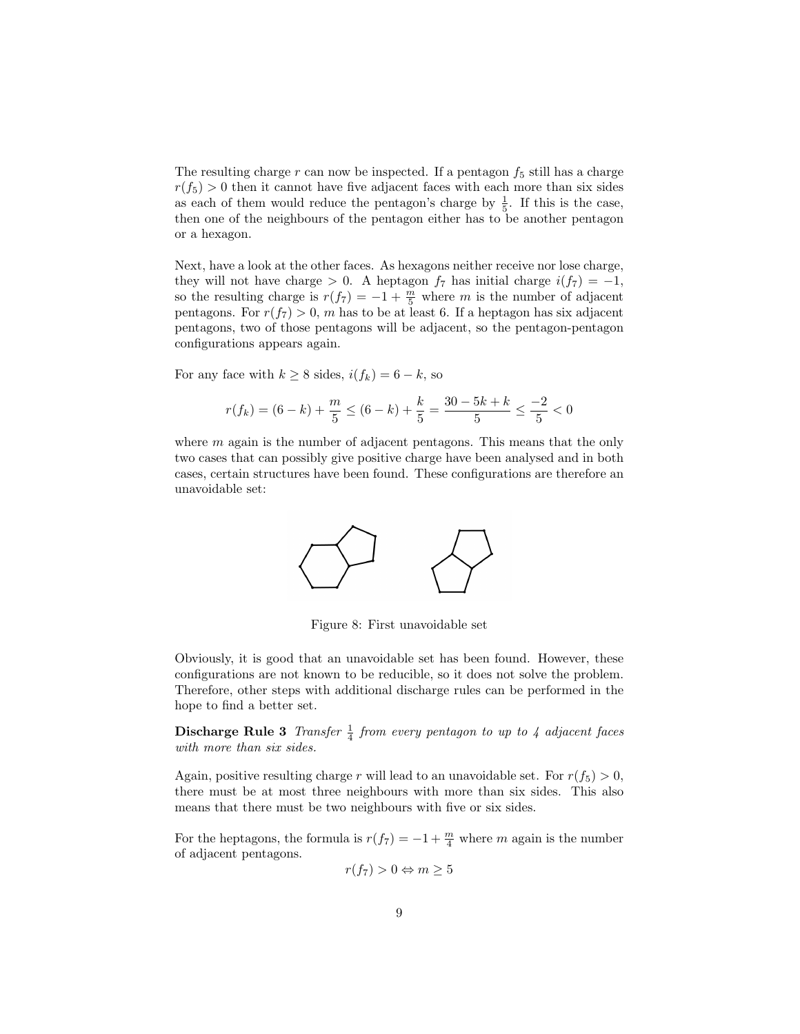The resulting charge r can now be inspected. If a pentagon  $f_5$  still has a charge  $r(f_5) > 0$  then it cannot have five adjacent faces with each more than six sides as each of them would reduce the pentagon's charge by  $\frac{1}{5}$ . If this is the case, then one of the neighbours of the pentagon either has to be another pentagon or a hexagon.

Next, have a look at the other faces. As hexagons neither receive nor lose charge, they will not have charge > 0. A heptagon  $f_7$  has initial charge  $i(f_7) = -1$ , so the resulting charge is  $r(f_7) = -1 + \frac{m}{5}$  where m is the number of adjacent pentagons. For  $r(f_7) > 0$ , m has to be at least 6. If a heptagon has six adjacent pentagons, two of those pentagons will be adjacent, so the pentagon-pentagon configurations appears again.

For any face with  $k \geq 8$  sides,  $i(f_k) = 6 - k$ , so

$$
r(f_k) = (6-k) + \frac{m}{5} \le (6-k) + \frac{k}{5} = \frac{30-5k+k}{5} \le \frac{-2}{5} < 0
$$

where  $m$  again is the number of adjacent pentagons. This means that the only two cases that can possibly give positive charge have been analysed and in both cases, certain structures have been found. These configurations are therefore an unavoidable set:



Figure 8: First unavoidable set

Obviously, it is good that an unavoidable set has been found. However, these configurations are not known to be reducible, so it does not solve the problem. Therefore, other steps with additional discharge rules can be performed in the hope to find a better set.

**Discharge Rule 3** Transfer  $\frac{1}{4}$  from every pentagon to up to 4 adjacent faces with more than six sides.

Again, positive resulting charge r will lead to an unavoidable set. For  $r(f_5) > 0$ , there must be at most three neighbours with more than six sides. This also means that there must be two neighbours with five or six sides.

For the heptagons, the formula is  $r(f_7) = -1 + \frac{m}{4}$  where m again is the number of adjacent pentagons.

$$
r(f_7) > 0 \Leftrightarrow m \ge 5
$$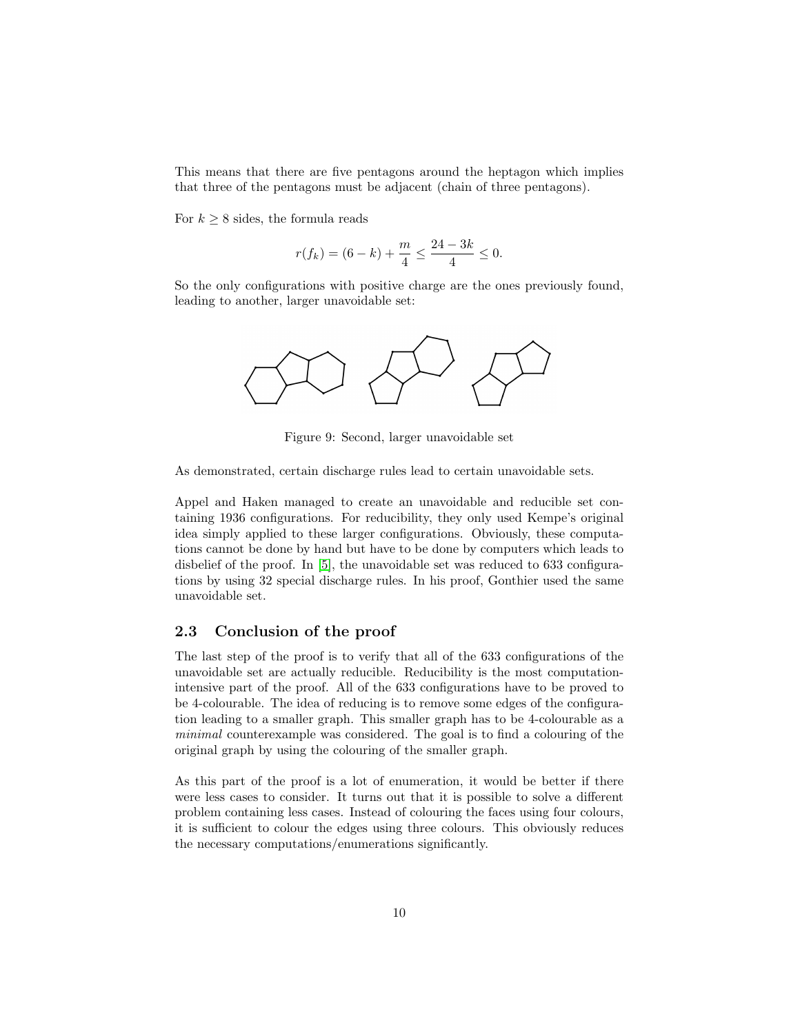This means that there are five pentagons around the heptagon which implies that three of the pentagons must be adjacent (chain of three pentagons).

For  $k \geq 8$  sides, the formula reads

$$
r(f_k) = (6 - k) + \frac{m}{4} \le \frac{24 - 3k}{4} \le 0.
$$

So the only configurations with positive charge are the ones previously found, leading to another, larger unavoidable set:



Figure 9: Second, larger unavoidable set

As demonstrated, certain discharge rules lead to certain unavoidable sets.

Appel and Haken managed to create an unavoidable and reducible set containing 1936 configurations. For reducibility, they only used Kempe's original idea simply applied to these larger configurations. Obviously, these computations cannot be done by hand but have to be done by computers which leads to disbelief of the proof. In [\[5\]](#page-11-4), the unavoidable set was reduced to 633 configurations by using 32 special discharge rules. In his proof, Gonthier used the same unavoidable set.

### <span id="page-9-0"></span>2.3 Conclusion of the proof

The last step of the proof is to verify that all of the 633 configurations of the unavoidable set are actually reducible. Reducibility is the most computationintensive part of the proof. All of the 633 configurations have to be proved to be 4-colourable. The idea of reducing is to remove some edges of the configuration leading to a smaller graph. This smaller graph has to be 4-colourable as a minimal counterexample was considered. The goal is to find a colouring of the original graph by using the colouring of the smaller graph.

As this part of the proof is a lot of enumeration, it would be better if there were less cases to consider. It turns out that it is possible to solve a different problem containing less cases. Instead of colouring the faces using four colours, it is sufficient to colour the edges using three colours. This obviously reduces the necessary computations/enumerations significantly.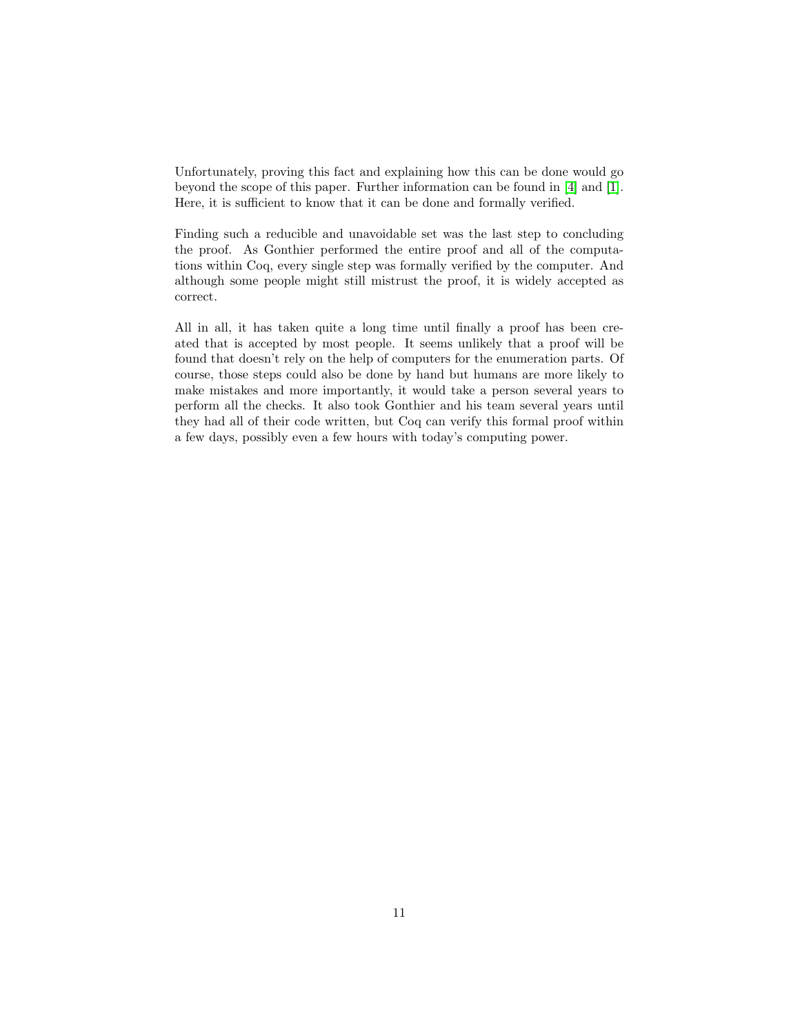Unfortunately, proving this fact and explaining how this can be done would go beyond the scope of this paper. Further information can be found in [\[4\]](#page-11-0) and [\[1\]](#page-11-1). Here, it is sufficient to know that it can be done and formally verified.

Finding such a reducible and unavoidable set was the last step to concluding the proof. As Gonthier performed the entire proof and all of the computations within Coq, every single step was formally verified by the computer. And although some people might still mistrust the proof, it is widely accepted as correct.

All in all, it has taken quite a long time until finally a proof has been created that is accepted by most people. It seems unlikely that a proof will be found that doesn't rely on the help of computers for the enumeration parts. Of course, those steps could also be done by hand but humans are more likely to make mistakes and more importantly, it would take a person several years to perform all the checks. It also took Gonthier and his team several years until they had all of their code written, but Coq can verify this formal proof within a few days, possibly even a few hours with today's computing power.